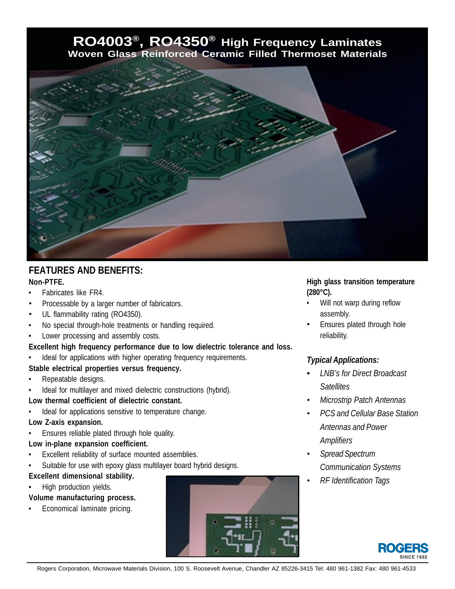# **RO4003®, RO4350® High Frequency Laminates Woven Glass Reinforced Ceramic Filled Thermoset Materials**



# **FEATURES AND BENEFITS:**

# **Non-PTFE.**

- Fabricates like FR4.
- Processable by a larger number of fabricators.
- UL flammability rating (RO4350).
- No special through-hole treatments or handling required.
- Lower processing and assembly costs.

**Excellent high frequency performance due to low dielectric tolerance and loss.**

Ideal for applications with higher operating frequency requirements.

#### **Stable electrical properties versus frequency.**

- Repeatable designs.
- Ideal for multilayer and mixed dielectric constructions (hybrid).

#### **Low thermal coefficient of dielectric constant.**

Ideal for applications sensitive to temperature change.

#### **Low Z-axis expansion.**

• Ensures reliable plated through hole quality.

## **Low in-plane expansion coefficient.**

- Excellent reliability of surface mounted assemblies.
- Suitable for use with epoxy glass multilayer board hybrid designs.
- **Excellent dimensional stability.**
- **•** High production yields.

**Volume manufacturing process.**

• Economical laminate pricing.



## **High glass transition temperature (280°C).**

- Will not warp during reflow assembly.
- Ensures plated through hole reliability.

# *Typical Applications:*

- *• LNB's for Direct Broadcast Satellites*
- *• Microstrip Patch Antennas*
- *• PCS and Cellular Base Station Antennas and Power Amplifiers*
- *• Spread Spectrum Communication Systems*
- *• RF Identification Tags*